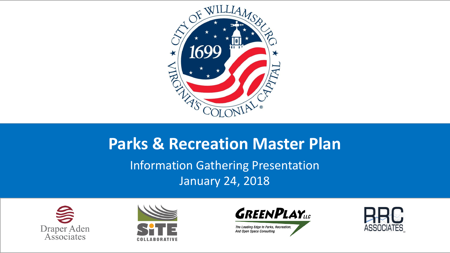

#### **Parks & Recreation Master Plan** Information Gathering Presentation January 24, 2018







The Leading Edge In Parks, Recreation, And Open Space Consulting

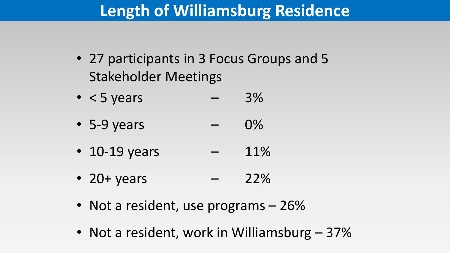#### **Length of Williamsburg Residence**

- 27 participants in 3 Focus Groups and 5 Stakeholder Meetings
- $\bullet$  < 5 years 3%
- 5-9 years  $0\%$
- 10-19 years  $-$  11%
- 20+ years  $22%$
- Not a resident, use programs 26%
- Not a resident, work in Williamsburg 37%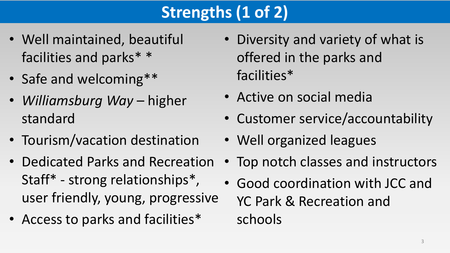## **Strengths (1 of 2)**

- Well maintained, beautiful facilities and parks\* \*
- Safe and welcoming\*\*
- *Williamsburg Way*  higher standard
- Tourism/vacation destination
- Dedicated Parks and Recreation Staff\* - strong relationships\*, user friendly, young, progressive
- Access to parks and facilities\*
- Diversity and variety of what is offered in the parks and facilities\*
- Active on social media
- Customer service/accountability
- Well organized leagues
- Top notch classes and instructors
- Good coordination with JCC and YC Park & Recreation and schools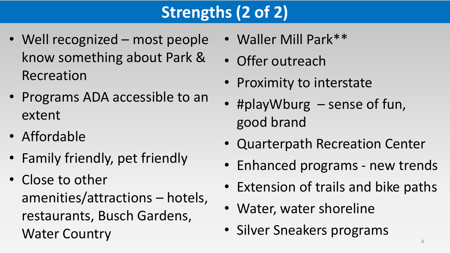## **Strengths (2 of 2)**

- Well recognized most people know something about Park & Recreation
- Programs ADA accessible to an extent
- Affordable
- Family friendly, pet friendly
- Close to other amenities/attractions – hotels, restaurants, Busch Gardens, Water Country
- Waller Mill Park\*\*
- Offer outreach
- Proximity to interstate
- #playWburg sense of fun, good brand
- Quarterpath Recreation Center
- Enhanced programs new trends
- Extension of trails and bike paths
- Water, water shoreline
- Silver Sneakers programs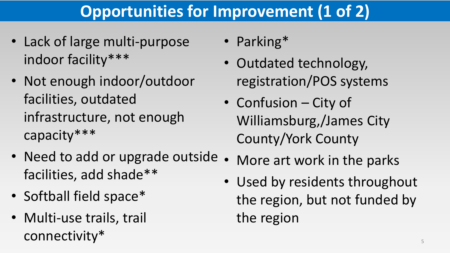## **Opportunities for Improvement (1 of 2)**

- Lack of large multi-purpose indoor facility\*\*\*
- Not enough indoor/outdoor facilities, outdated infrastructure, not enough capacity\*\*\*
- Need to add or upgrade outside. facilities, add shade\*\*
- Softball field space\*
- Multi-use trails, trail connectivity\*
- Parking\*
- Outdated technology, registration/POS systems
- Confusion City of Williamsburg,/James City County/York County
- More art work in the parks
- Used by residents throughout the region, but not funded by the region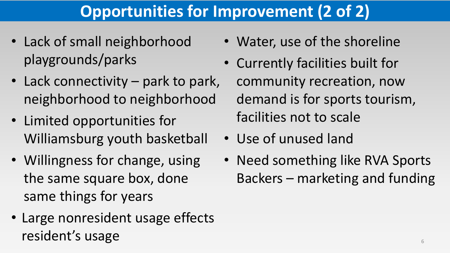## **Opportunities for Improvement (2 of 2)**

- Lack of small neighborhood playgrounds/parks
- Lack connectivity park to park, neighborhood to neighborhood
- Limited opportunities for Williamsburg youth basketball
- Willingness for change, using the same square box, done same things for years
- Large nonresident usage effects resident's usage
- Water, use of the shoreline
- Currently facilities built for community recreation, now demand is for sports tourism, facilities not to scale
- Use of unused land
- Need something like RVA Sports Backers – marketing and funding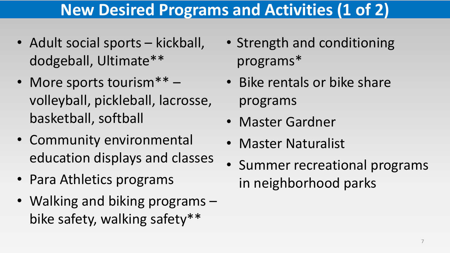### **New Desired Programs and Activities (1 of 2)**

- Adult social sports kickball, dodgeball, Ultimate\*\*
- More sports tourism\*\* volleyball, pickleball, lacrosse, basketball, softball
- Community environmental education displays and classes
- Para Athletics programs
- Walking and biking programs bike safety, walking safety\*\*
- Strength and conditioning programs\*
- Bike rentals or bike share programs
- Master Gardner
- Master Naturalist
- Summer recreational programs in neighborhood parks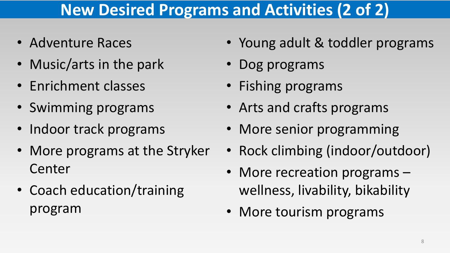#### **New Desired Programs and Activities (2 of 2)**

- Adventure Races
- Music/arts in the park
- Enrichment classes
- Swimming programs
- Indoor track programs
- More programs at the Stryker Center
- Coach education/training program
- Young adult & toddler programs
- Dog programs
- Fishing programs
- Arts and crafts programs
- More senior programming
- Rock climbing (indoor/outdoor)
- More recreation programs wellness, livability, bikability
- More tourism programs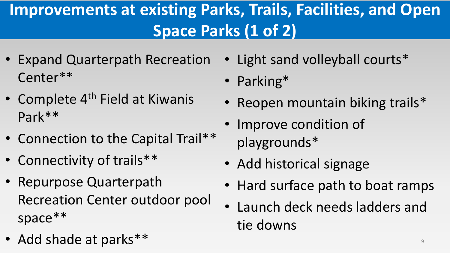## **Improvements at existing Parks, Trails, Facilities, and Open Space Parks (1 of 2)**

- Expand Quarterpath Recreation Center\*\*
- Complete  $4<sup>th</sup>$  Field at Kiwanis Park\*\*
- Connection to the Capital Trail\*\*
- Connectivity of trails\*\*
- Repurpose Quarterpath Recreation Center outdoor pool space\*\*
- Add shade at parks\*\*
- Light sand volleyball courts\*
- Parking\*
- Reopen mountain biking trails\*
- Improve condition of playgrounds\*
- Add historical signage
- Hard surface path to boat ramps
- Launch deck needs ladders and tie downs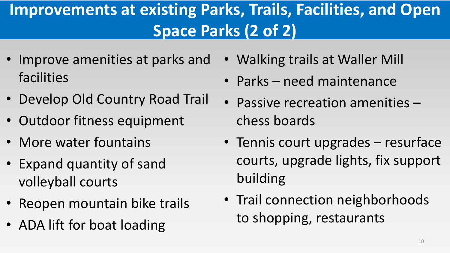## **Improvements at existing Parks, Trails, Facilities, and Open Space Parks (2 of 2)**

- Improve amenities at parks and facilities
- Develop Old Country Road Trail
- Outdoor fitness equipment
- More water fountains
- Expand quantity of sand volleyball courts
- Reopen mountain bike trails
- ADA lift for boat loading
- Walking trails at Waller Mill
- Parks need maintenance
- Passive recreation amenities chess boards
- Tennis court upgrades resurface courts, upgrade lights, fix support building
- Trail connection neighborhoods to shopping, restaurants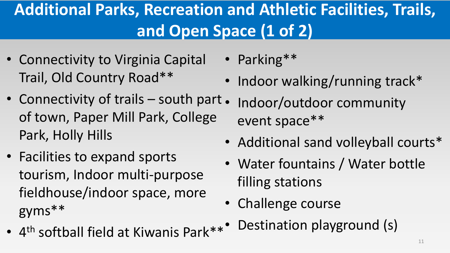## **Additional Parks, Recreation and Athletic Facilities, Trails, and Open Space (1 of 2)**

- Connectivity to Virginia Capital Trail, Old Country Road\*\*
- Connectivity of trails south part. of town, Paper Mill Park, College Park, Holly Hills
- Facilities to expand sports tourism, Indoor multi-purpose fieldhouse/indoor space, more gyms\*\*
- 4<sup>th</sup> softball field at Kiwanis Park\*\*
- Parking\*\*
- Indoor walking/running track\*
- Indoor/outdoor community event space\*\*
- Additional sand volleyball courts\*
- Water fountains / Water bottle filling stations
- Challenge course
- Destination playground (s)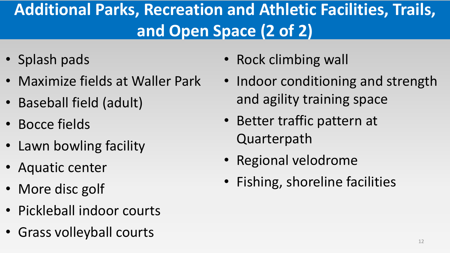## **Additional Parks, Recreation and Athletic Facilities, Trails, and Open Space (2 of 2)**

- Splash pads
- Maximize fields at Waller Park
- Baseball field (adult)
- Bocce fields
- Lawn bowling facility
- Aquatic center
- More disc golf
- Pickleball indoor courts
- Grass volleyball courts
- Rock climbing wall
- Indoor conditioning and strength and agility training space
- Better traffic pattern at Quarterpath
- Regional velodrome
- Fishing, shoreline facilities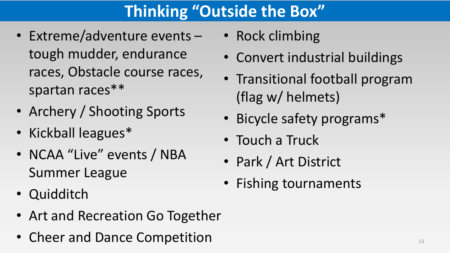## **Thinking "Outside the Box"**

- Extreme/adventure events tough mudder, endurance races, Obstacle course races, spartan races\*\*
- Archery / Shooting Sports
- Kickball leagues\*
- NCAA "Live" events / NBA Summer League
- Quidditch
- Art and Recreation Go Together
- Cheer and Dance Competition
- Rock climbing
- Convert industrial buildings
- Transitional football program (flag w/ helmets)
- Bicycle safety programs\*
- Touch a Truck
- Park / Art District
- Fishing tournaments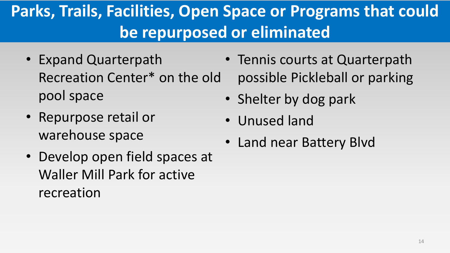## **Parks, Trails, Facilities, Open Space or Programs that could be repurposed or eliminated**

- Expand Quarterpath Recreation Center\* on the old pool space
- Repurpose retail or warehouse space
- Develop open field spaces at Waller Mill Park for active recreation
- Tennis courts at Quarterpath possible Pickleball or parking
- Shelter by dog park
- Unused land
- Land near Battery Blvd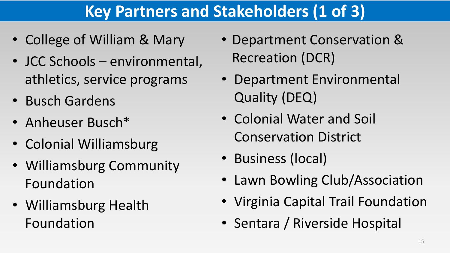## **Key Partners and Stakeholders (1 of 3)**

- College of William & Mary
- JCC Schools environmental, athletics, service programs
- Busch Gardens
- Anheuser Busch\*
- Colonial Williamsburg
- Williamsburg Community Foundation
- Williamsburg Health Foundation
- Department Conservation & Recreation (DCR)
- Department Environmental Quality (DEQ)
- Colonial Water and Soil Conservation District
- Business (local)
- Lawn Bowling Club/Association
- Virginia Capital Trail Foundation
- Sentara / Riverside Hospital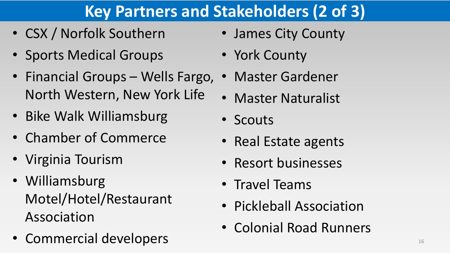### **Key Partners and Stakeholders (2 of 3)**

- CSX / Norfolk Southern
- Sports Medical Groups
- Financial Groups Wells Fargo, North Western, New York Life
- Bike Walk Williamsburg
- Chamber of Commerce
- Virginia Tourism
- Williamsburg Motel/Hotel/Restaurant Association
- Commercial developers
- James City County
- York County
- Master Gardener
- Master Naturalist
- Scouts
- Real Estate agents
- Resort businesses
- Travel Teams
- Pickleball Association
- Colonial Road Runners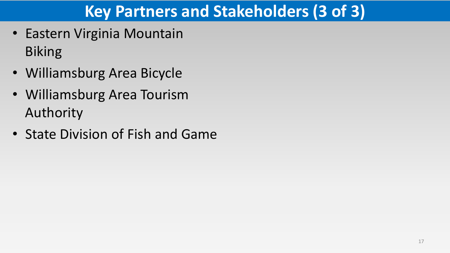### **Key Partners and Stakeholders (3 of 3)**

- Eastern Virginia Mountain Biking
- Williamsburg Area Bicycle
- Williamsburg Area Tourism Authority
- State Division of Fish and Game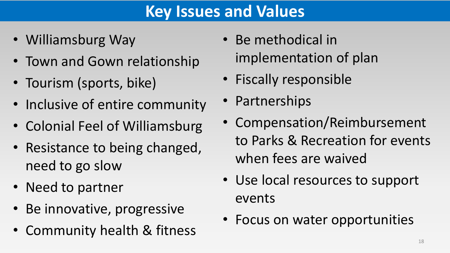#### **Key Issues and Values**

- Williamsburg Way
- Town and Gown relationship
- Tourism (sports, bike)
- Inclusive of entire community
- Colonial Feel of Williamsburg
- Resistance to being changed, need to go slow
- Need to partner
- Be innovative, progressive
- Community health & fitness
- Be methodical in implementation of plan
- Fiscally responsible
- Partnerships
- Compensation/Reimbursement to Parks & Recreation for events when fees are waived
- Use local resources to support events
- Focus on water opportunities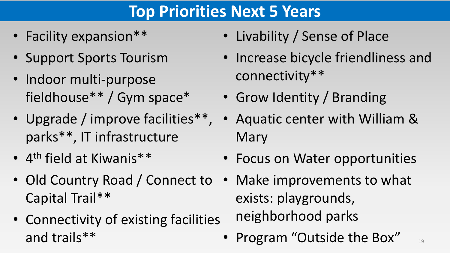#### **Top Priorities Next 5 Years**

- Facility expansion \*\*
- Support Sports Tourism
- Indoor multi-purpose fieldhouse\*\* / Gym space\*
- Upgrade / improve facilities\*\*, parks\*\*, IT infrastructure
- 4<sup>th</sup> field at Kiwanis\*\*
- Old Country Road / Connect to Capital Trail\*\*
- Connectivity of existing facilities and trails\*\*
- Livability / Sense of Place
- Increase bicycle friendliness and connectivity\*\*
- Grow Identity / Branding
- Aquatic center with William & Mary
- Focus on Water opportunities
- Make improvements to what exists: playgrounds, neighborhood parks
- Program "Outside the Box"

19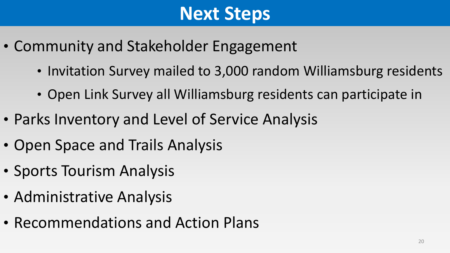# **Next Steps**

- Community and Stakeholder Engagement
	- Invitation Survey mailed to 3,000 random Williamsburg residents
	- Open Link Survey all Williamsburg residents can participate in
- Parks Inventory and Level of Service Analysis
- Open Space and Trails Analysis
- Sports Tourism Analysis
- Administrative Analysis
- Recommendations and Action Plans